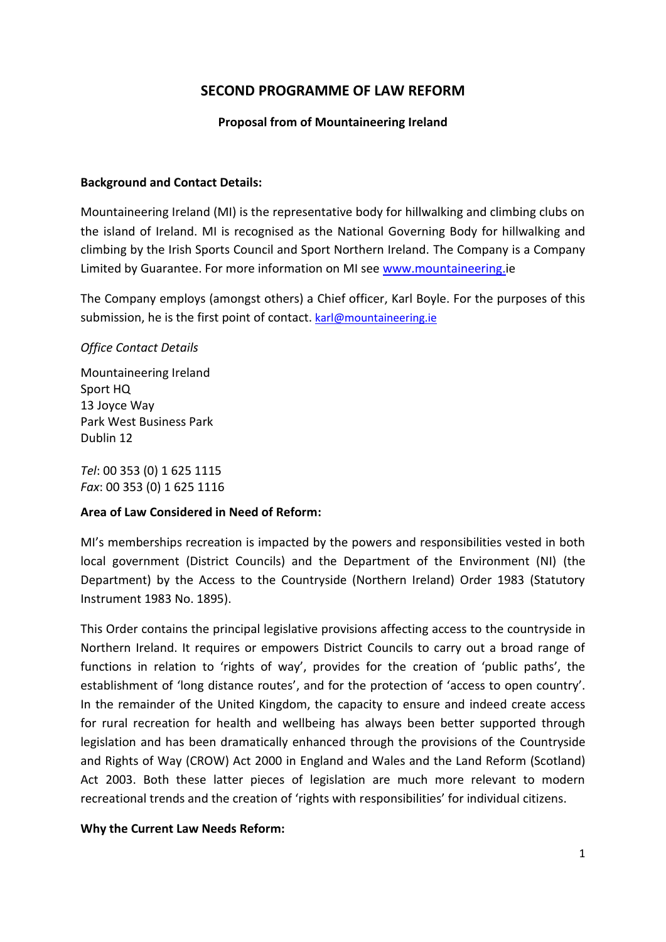# **SECOND PROGRAMME OF LAW REFORM**

## **Proposal from of Mountaineering Ireland**

### **Background and Contact Details:**

Mountaineering Ireland (MI) is the representative body for hillwalking and climbing clubs on the island of Ireland. MI is recognised as the National Governing Body for hillwalking and climbing by the Irish Sports Council and Sport Northern Ireland. The Company is a Company Limited by Guarantee. For more information on MI see [www.mountaineering.i](http://www.mountaineering./)e

The Company employs (amongst others) a Chief officer, Karl Boyle. For the purposes of this submission, he is the first point of contact. [karl@mountaineering.ie](mailto:karl@mountaineering.ie)

## *Office Contact Details*

Mountaineering Ireland Sport HQ 13 Joyce Way Park West Business Park Dublin 12

*Tel*: 00 353 (0) 1 625 1115 *Fax*: 00 353 (0) 1 625 1116

# **Area of Law Considered in Need of Reform:**

MI's memberships recreation is impacted by the powers and responsibilities vested in both local government (District Councils) and the Department of the Environment (NI) (the Department) by the Access to the Countryside (Northern Ireland) Order 1983 (Statutory Instrument 1983 No. 1895).

This Order contains the principal legislative provisions affecting access to the countryside in Northern Ireland. It requires or empowers District Councils to carry out a broad range of functions in relation to 'rights of way', provides for the creation of 'public paths', the establishment of 'long distance routes', and for the protection of 'access to open country'. In the remainder of the United Kingdom, the capacity to ensure and indeed create access for rural recreation for health and wellbeing has always been better supported through legislation and has been dramatically enhanced through the provisions of the Countryside and Rights of Way (CROW) Act 2000 in England and Wales and the Land Reform (Scotland) Act 2003. Both these latter pieces of legislation are much more relevant to modern recreational trends and the creation of 'rights with responsibilities' for individual citizens.

### **Why the Current Law Needs Reform:**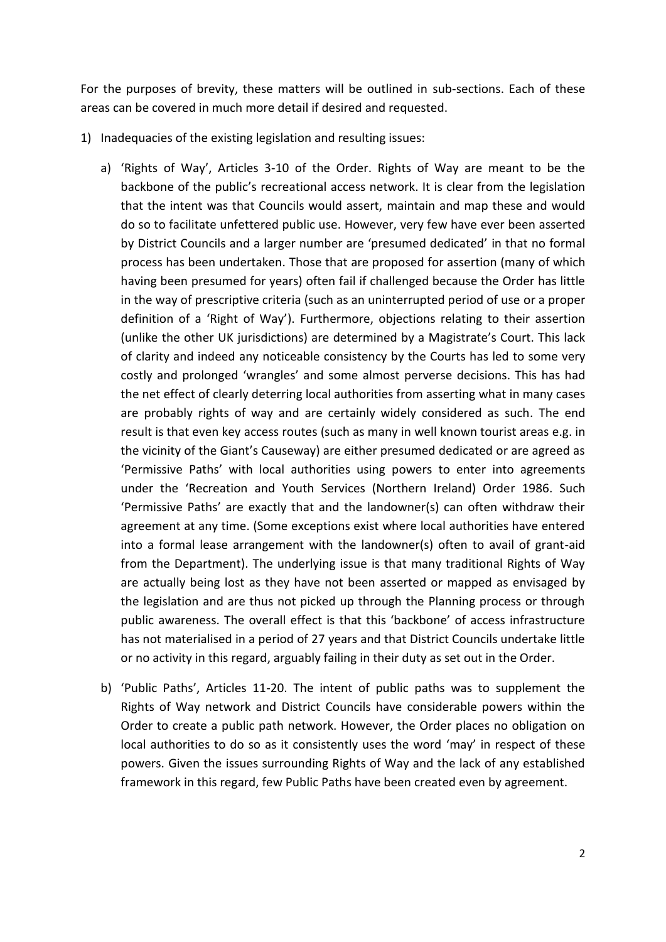For the purposes of brevity, these matters will be outlined in sub-sections. Each of these areas can be covered in much more detail if desired and requested.

- 1) Inadequacies of the existing legislation and resulting issues:
	- a) 'Rights of Way', Articles 3-10 of the Order. Rights of Way are meant to be the backbone of the public's recreational access network. It is clear from the legislation that the intent was that Councils would assert, maintain and map these and would do so to facilitate unfettered public use. However, very few have ever been asserted by District Councils and a larger number are 'presumed dedicated' in that no formal process has been undertaken. Those that are proposed for assertion (many of which having been presumed for years) often fail if challenged because the Order has little in the way of prescriptive criteria (such as an uninterrupted period of use or a proper definition of a 'Right of Way'). Furthermore, objections relating to their assertion (unlike the other UK jurisdictions) are determined by a Magistrate's Court. This lack of clarity and indeed any noticeable consistency by the Courts has led to some very costly and prolonged 'wrangles' and some almost perverse decisions. This has had the net effect of clearly deterring local authorities from asserting what in many cases are probably rights of way and are certainly widely considered as such. The end result is that even key access routes (such as many in well known tourist areas e.g. in the vicinity of the Giant's Causeway) are either presumed dedicated or are agreed as 'Permissive Paths' with local authorities using powers to enter into agreements under the 'Recreation and Youth Services (Northern Ireland) Order 1986. Such 'Permissive Paths' are exactly that and the landowner(s) can often withdraw their agreement at any time. (Some exceptions exist where local authorities have entered into a formal lease arrangement with the landowner(s) often to avail of grant-aid from the Department). The underlying issue is that many traditional Rights of Way are actually being lost as they have not been asserted or mapped as envisaged by the legislation and are thus not picked up through the Planning process or through public awareness. The overall effect is that this 'backbone' of access infrastructure has not materialised in a period of 27 years and that District Councils undertake little or no activity in this regard, arguably failing in their duty as set out in the Order.
	- b) 'Public Paths', Articles 11-20. The intent of public paths was to supplement the Rights of Way network and District Councils have considerable powers within the Order to create a public path network. However, the Order places no obligation on local authorities to do so as it consistently uses the word 'may' in respect of these powers. Given the issues surrounding Rights of Way and the lack of any established framework in this regard, few Public Paths have been created even by agreement.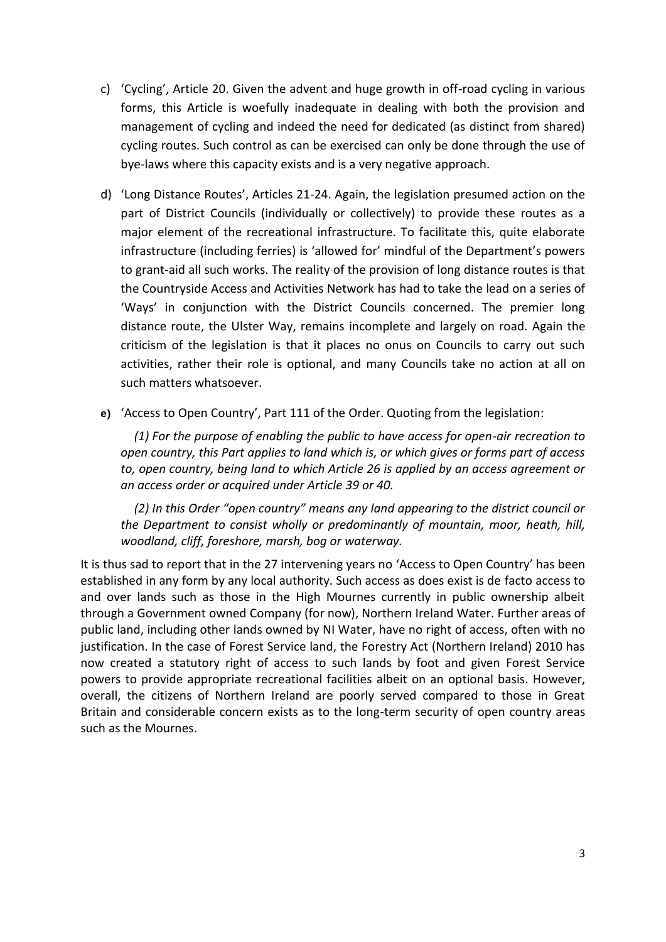- c) 'Cycling', Article 20. Given the advent and huge growth in off-road cycling in various forms, this Article is woefully inadequate in dealing with both the provision and management of cycling and indeed the need for dedicated (as distinct from shared) cycling routes. Such control as can be exercised can only be done through the use of bye-laws where this capacity exists and is a very negative approach.
- d) 'Long Distance Routes', Articles 21-24. Again, the legislation presumed action on the part of District Councils (individually or collectively) to provide these routes as a major element of the recreational infrastructure. To facilitate this, quite elaborate infrastructure (including ferries) is 'allowed for' mindful of the Department's powers to grant-aid all such works. The reality of the provision of long distance routes is that the Countryside Access and Activities Network has had to take the lead on a series of 'Ways' in conjunction with the District Councils concerned. The premier long distance route, the Ulster Way, remains incomplete and largely on road. Again the criticism of the legislation is that it places no onus on Councils to carry out such activities, rather their role is optional, and many Councils take no action at all on such matters whatsoever.
- **e)** 'Access to Open Country', Part 111 of the Order. Quoting from the legislation:

*(1) For the purpose of enabling the public to have access for open-air recreation to open country, this Part applies to land which is, or which gives or forms part of access to, open country, being land to which Article 26 is applied by an access agreement or an access order or acquired under Article 39 or 40.*

*(2) In this Order "open country" means any land appearing to the district council or the Department to consist wholly or predominantly of mountain, moor, heath, hill, woodland, cliff, foreshore, marsh, bog or waterway.*

It is thus sad to report that in the 27 intervening years no 'Access to Open Country' has been established in any form by any local authority. Such access as does exist is de facto access to and over lands such as those in the High Mournes currently in public ownership albeit through a Government owned Company (for now), Northern Ireland Water. Further areas of public land, including other lands owned by NI Water, have no right of access, often with no justification. In the case of Forest Service land, the Forestry Act (Northern Ireland) 2010 has now created a statutory right of access to such lands by foot and given Forest Service powers to provide appropriate recreational facilities albeit on an optional basis. However, overall, the citizens of Northern Ireland are poorly served compared to those in Great Britain and considerable concern exists as to the long-term security of open country areas such as the Mournes.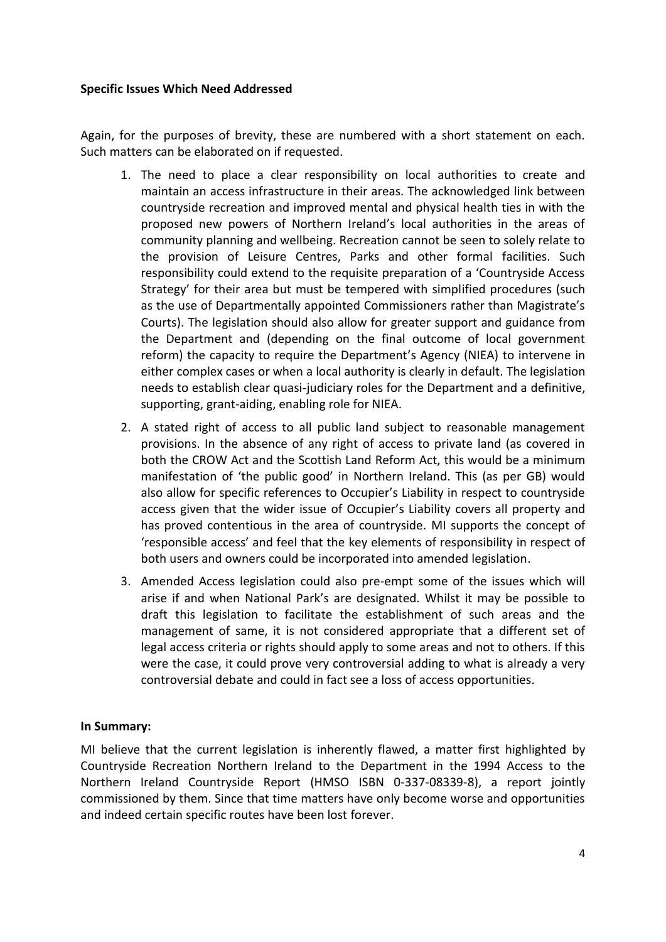### **Specific Issues Which Need Addressed**

Again, for the purposes of brevity, these are numbered with a short statement on each. Such matters can be elaborated on if requested.

- 1. The need to place a clear responsibility on local authorities to create and maintain an access infrastructure in their areas. The acknowledged link between countryside recreation and improved mental and physical health ties in with the proposed new powers of Northern Ireland's local authorities in the areas of community planning and wellbeing. Recreation cannot be seen to solely relate to the provision of Leisure Centres, Parks and other formal facilities. Such responsibility could extend to the requisite preparation of a 'Countryside Access Strategy' for their area but must be tempered with simplified procedures (such as the use of Departmentally appointed Commissioners rather than Magistrate's Courts). The legislation should also allow for greater support and guidance from the Department and (depending on the final outcome of local government reform) the capacity to require the Department's Agency (NIEA) to intervene in either complex cases or when a local authority is clearly in default. The legislation needs to establish clear quasi-judiciary roles for the Department and a definitive, supporting, grant-aiding, enabling role for NIEA.
- 2. A stated right of access to all public land subject to reasonable management provisions. In the absence of any right of access to private land (as covered in both the CROW Act and the Scottish Land Reform Act, this would be a minimum manifestation of 'the public good' in Northern Ireland. This (as per GB) would also allow for specific references to Occupier's Liability in respect to countryside access given that the wider issue of Occupier's Liability covers all property and has proved contentious in the area of countryside. MI supports the concept of 'responsible access' and feel that the key elements of responsibility in respect of both users and owners could be incorporated into amended legislation.
- 3. Amended Access legislation could also pre-empt some of the issues which will arise if and when National Park's are designated. Whilst it may be possible to draft this legislation to facilitate the establishment of such areas and the management of same, it is not considered appropriate that a different set of legal access criteria or rights should apply to some areas and not to others. If this were the case, it could prove very controversial adding to what is already a very controversial debate and could in fact see a loss of access opportunities.

### **In Summary:**

MI believe that the current legislation is inherently flawed, a matter first highlighted by Countryside Recreation Northern Ireland to the Department in the 1994 Access to the Northern Ireland Countryside Report (HMSO ISBN 0-337-08339-8), a report jointly commissioned by them. Since that time matters have only become worse and opportunities and indeed certain specific routes have been lost forever.